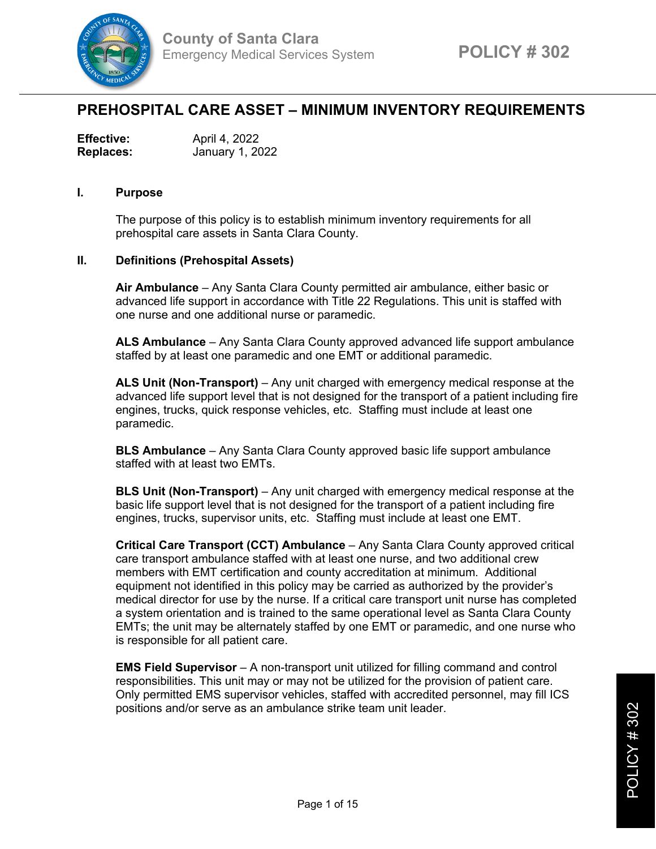

## **PREHOSPITAL CARE ASSET – MINIMUM INVENTORY REQUIREMENTS**

| <b>Effective:</b> | April 4, 2022   |
|-------------------|-----------------|
| <b>Replaces:</b>  | January 1, 2022 |

## **I. Purpose**

The purpose of this policy is to establish minimum inventory requirements for all prehospital care assets in Santa Clara County.

## **II. Definitions (Prehospital Assets)**

**Air Ambulance** – Any Santa Clara County permitted air ambulance, either basic or advanced life support in accordance with Title 22 Regulations. This unit is staffed with one nurse and one additional nurse or paramedic.

**ALS Ambulance** – Any Santa Clara County approved advanced life support ambulance staffed by at least one paramedic and one EMT or additional paramedic.

**ALS Unit (Non-Transport)** – Any unit charged with emergency medical response at the advanced life support level that is not designed for the transport of a patient including fire engines, trucks, quick response vehicles, etc. Staffing must include at least one paramedic.

**BLS Ambulance** – Any Santa Clara County approved basic life support ambulance staffed with at least two EMTs.

**BLS Unit (Non-Transport)** – Any unit charged with emergency medical response at the basic life support level that is not designed for the transport of a patient including fire engines, trucks, supervisor units, etc. Staffing must include at least one EMT.

**Critical Care Transport (CCT) Ambulance** – Any Santa Clara County approved critical care transport ambulance staffed with at least one nurse, and two additional crew members with EMT certification and county accreditation at minimum. Additional equipment not identified in this policy may be carried as authorized by the provider's medical director for use by the nurse. If a critical care transport unit nurse has completed a system orientation and is trained to the same operational level as Santa Clara County EMTs; the unit may be alternately staffed by one EMT or paramedic, and one nurse who is responsible for all patient care.

**EMS Field Supervisor** – A non-transport unit utilized for filling command and control responsibilities. This unit may or may not be utilized for the provision of patient care. Only permitted EMS supervisor vehicles, staffed with accredited personnel, may fill ICS positions and/or serve as an ambulance strike team unit leader.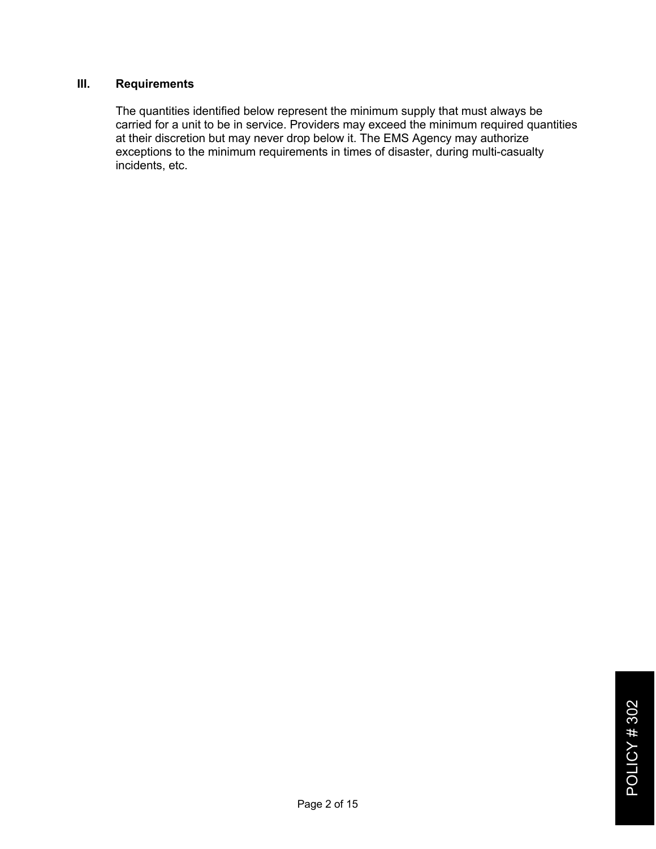## **III. Requirements**

The quantities identified below represent the minimum supply that must always be carried for a unit to be in service. Providers may exceed the minimum required quantities at their discretion but may never drop below it. The EMS Agency may authorize exceptions to the minimum requirements in times of disaster, during multi-casualty incidents, etc.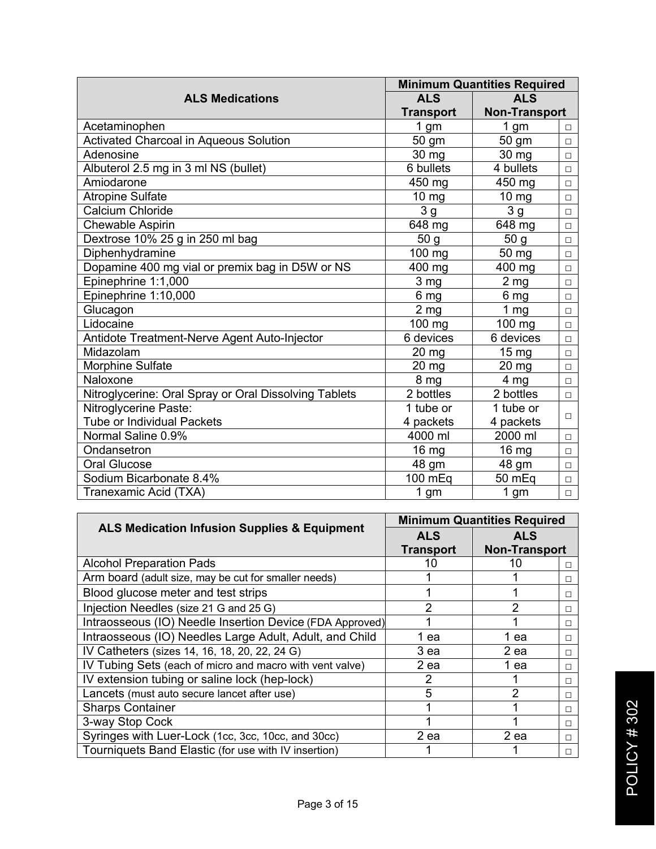|                                                       |                  | <b>Minimum Quantities Required</b> |        |  |
|-------------------------------------------------------|------------------|------------------------------------|--------|--|
| <b>ALS Medications</b>                                | <b>ALS</b>       | <b>ALS</b>                         |        |  |
|                                                       | <b>Transport</b> | <b>Non-Transport</b>               |        |  |
| Acetaminophen                                         | 1 gm             | 1 gm                               | $\Box$ |  |
| Activated Charcoal in Aqueous Solution                | 50 gm            | 50 gm                              | $\Box$ |  |
| Adenosine                                             | 30 mg            | 30 mg                              | $\Box$ |  |
| Albuterol 2.5 mg in 3 ml NS (bullet)                  | 6 bullets        | 4 bullets                          | $\Box$ |  |
| Amiodarone                                            | 450 mg           | 450 mg                             | $\Box$ |  |
| <b>Atropine Sulfate</b>                               | $10 \text{ mg}$  | $10 \text{ mg}$                    | $\Box$ |  |
| Calcium Chloride                                      | 3g               | 3g                                 | $\Box$ |  |
| Chewable Aspirin                                      | 648 mg           | 648 mg                             | $\Box$ |  |
| Dextrose 10% 25 g in 250 ml bag                       | 50 <sub>g</sub>  | 50 g                               | $\Box$ |  |
| Diphenhydramine                                       | 100 mg           | 50 mg                              | $\Box$ |  |
| Dopamine 400 mg vial or premix bag in D5W or NS       | 400 mg           | 400 mg                             | $\Box$ |  |
| Epinephrine 1:1,000                                   | 3 <sub>mg</sub>  | 2 <sub>mg</sub>                    | Π.     |  |
| Epinephrine 1:10,000                                  | 6 mg             | 6 mg                               | $\Box$ |  |
| Glucagon                                              | 2 <sub>mg</sub>  | 1 $mg$                             | $\Box$ |  |
| Lidocaine                                             | 100 mg           | 100 mg                             | $\Box$ |  |
| Antidote Treatment-Nerve Agent Auto-Injector          | 6 devices        | 6 devices                          | Π.     |  |
| Midazolam                                             | $20 \text{ mg}$  | $15 \text{ mg}$                    | $\Box$ |  |
| <b>Morphine Sulfate</b>                               | $20 \text{ mg}$  | $20$ mg                            | $\Box$ |  |
| Naloxone                                              | 8 mg             | 4 <sub>mg</sub>                    | $\Box$ |  |
| Nitroglycerine: Oral Spray or Oral Dissolving Tablets | 2 bottles        | 2 bottles                          | $\Box$ |  |
| Nitroglycerine Paste:                                 | 1 tube or        | 1 tube or                          |        |  |
| <b>Tube or Individual Packets</b>                     | 4 packets        | 4 packets                          | П      |  |
| Normal Saline 0.9%                                    | 4000 ml          | 2000 ml                            | $\Box$ |  |
| Ondansetron                                           | 16 <sub>mg</sub> | 16 mg                              | $\Box$ |  |
| <b>Oral Glucose</b>                                   | 48 gm            | 48 gm                              | $\Box$ |  |
| Sodium Bicarbonate 8.4%                               | 100 mEq          | 50 mEq                             | $\Box$ |  |
| Tranexamic Acid (TXA)                                 | 1 <sub>gm</sub>  | 1 <sub>gm</sub>                    | $\Box$ |  |

|                                                          | <b>Minimum Quantities Required</b> |                      |        |
|----------------------------------------------------------|------------------------------------|----------------------|--------|
| <b>ALS Medication Infusion Supplies &amp; Equipment</b>  | <b>ALS</b>                         | <b>ALS</b>           |        |
|                                                          | <b>Transport</b>                   | <b>Non-Transport</b> |        |
| <b>Alcohol Preparation Pads</b>                          | 10                                 | 10                   | $\Box$ |
| Arm board (adult size, may be cut for smaller needs)     |                                    |                      | $\Box$ |
| Blood glucose meter and test strips                      |                                    |                      | П      |
| Injection Needles (size 21 G and 25 G)                   | 2                                  | 2                    | п      |
| Intraosseous (IO) Needle Insertion Device (FDA Approved) |                                    |                      | $\Box$ |
| Intraosseous (IO) Needles Large Adult, Adult, and Child  | 1 ea                               | 1 ea                 | $\Box$ |
| IV Catheters (sizes 14, 16, 18, 20, 22, 24 G)            | 3 ea                               | 2 ea                 | $\Box$ |
| IV Tubing Sets (each of micro and macro with vent valve) | 2 ea                               | 1 ea                 | $\Box$ |
| IV extension tubing or saline lock (hep-lock)            | 2                                  |                      | $\Box$ |
| Lancets (must auto secure lancet after use)              | 5                                  | 2                    | $\Box$ |
| <b>Sharps Container</b>                                  |                                    |                      | $\Box$ |
| 3-way Stop Cock                                          |                                    |                      | $\Box$ |
| Syringes with Luer-Lock (1cc, 3cc, 10cc, and 30cc)       | 2 ea                               | 2 ea                 | $\Box$ |
| Tourniquets Band Elastic (for use with IV insertion)     |                                    |                      | п      |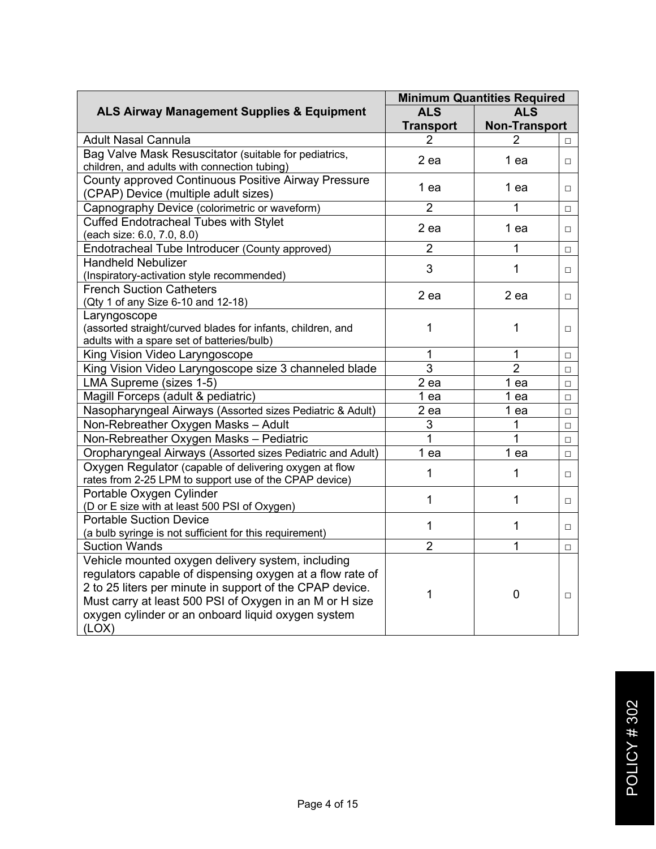|                                                                                                                                                                                                                                                                                                      | <b>Minimum Quantities Required</b> |                      |        |
|------------------------------------------------------------------------------------------------------------------------------------------------------------------------------------------------------------------------------------------------------------------------------------------------------|------------------------------------|----------------------|--------|
| <b>ALS Airway Management Supplies &amp; Equipment</b>                                                                                                                                                                                                                                                | <b>ALS</b>                         | <b>ALS</b>           |        |
|                                                                                                                                                                                                                                                                                                      | <b>Transport</b>                   | <b>Non-Transport</b> |        |
| Adult Nasal Cannula                                                                                                                                                                                                                                                                                  |                                    |                      | $\Box$ |
| Bag Valve Mask Resuscitator (suitable for pediatrics,<br>children, and adults with connection tubing)                                                                                                                                                                                                | 2 ea                               | 1 ea                 | $\Box$ |
| County approved Continuous Positive Airway Pressure<br>(CPAP) Device (multiple adult sizes)                                                                                                                                                                                                          | 1 ea                               | 1 ea                 | $\Box$ |
| Capnography Device (colorimetric or waveform)                                                                                                                                                                                                                                                        | $\overline{2}$                     | 1                    | $\Box$ |
| <b>Cuffed Endotracheal Tubes with Stylet</b><br>(each size: 6.0, 7.0, 8.0)                                                                                                                                                                                                                           | 2 ea                               | 1 ea                 | $\Box$ |
| Endotracheal Tube Introducer (County approved)                                                                                                                                                                                                                                                       | $\overline{2}$                     | 1                    | $\Box$ |
| <b>Handheld Nebulizer</b><br>(Inspiratory-activation style recommended)                                                                                                                                                                                                                              | 3                                  | $\mathbf{1}$         | $\Box$ |
| <b>French Suction Catheters</b><br>(Qty 1 of any Size 6-10 and 12-18)                                                                                                                                                                                                                                | 2 ea                               | $2$ ea               | $\Box$ |
| Laryngoscope<br>(assorted straight/curved blades for infants, children, and<br>adults with a spare set of batteries/bulb)                                                                                                                                                                            | 1                                  | 1                    | $\Box$ |
| King Vision Video Laryngoscope                                                                                                                                                                                                                                                                       | 1                                  | 1                    | $\Box$ |
| King Vision Video Laryngoscope size 3 channeled blade                                                                                                                                                                                                                                                | $\overline{3}$                     | $\overline{2}$       | $\Box$ |
| LMA Supreme (sizes 1-5)                                                                                                                                                                                                                                                                              | $2$ ea                             | 1 ea                 | $\Box$ |
| Magill Forceps (adult & pediatric)                                                                                                                                                                                                                                                                   | 1 ea                               | 1 ea                 | $\Box$ |
| Nasopharyngeal Airways (Assorted sizes Pediatric & Adult)                                                                                                                                                                                                                                            | 2 ea                               | 1 <sub>ea</sub>      | $\Box$ |
| Non-Rebreather Oxygen Masks - Adult                                                                                                                                                                                                                                                                  | 3                                  | 1                    | $\Box$ |
| Non-Rebreather Oxygen Masks - Pediatric                                                                                                                                                                                                                                                              | $\overline{1}$                     | 1                    | $\Box$ |
| Oropharyngeal Airways (Assorted sizes Pediatric and Adult)                                                                                                                                                                                                                                           | 1 ea                               | 1 ea                 | $\Box$ |
| Oxygen Regulator (capable of delivering oxygen at flow<br>rates from 2-25 LPM to support use of the CPAP device)                                                                                                                                                                                     | 1                                  | 1                    | $\Box$ |
| Portable Oxygen Cylinder<br>(D or E size with at least 500 PSI of Oxygen)                                                                                                                                                                                                                            | 1                                  | $\mathbf{1}$         | $\Box$ |
| <b>Portable Suction Device</b><br>(a bulb syringe is not sufficient for this requirement)                                                                                                                                                                                                            | 1                                  | $\mathbf{1}$         | $\Box$ |
| <b>Suction Wands</b>                                                                                                                                                                                                                                                                                 | $\overline{2}$                     | 1                    | $\Box$ |
| Vehicle mounted oxygen delivery system, including<br>regulators capable of dispensing oxygen at a flow rate of<br>2 to 25 liters per minute in support of the CPAP device.<br>Must carry at least 500 PSI of Oxygen in an M or H size<br>oxygen cylinder or an onboard liquid oxygen system<br>(LOX) | 1                                  | $\mathbf 0$          | $\Box$ |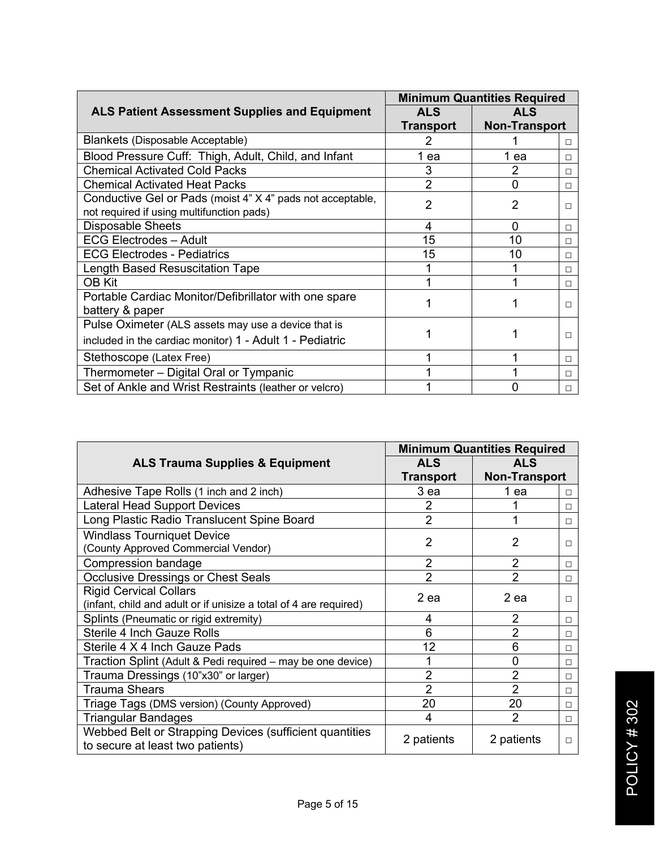| <b>Minimum Quantities Required</b>                         |                |                      |        |
|------------------------------------------------------------|----------------|----------------------|--------|
| <b>ALS Patient Assessment Supplies and Equipment</b>       | <b>ALS</b>     | <b>ALS</b>           |        |
|                                                            | Transport      | <b>Non-Transport</b> |        |
| Blankets (Disposable Acceptable)                           | 2              |                      | $\Box$ |
| Blood Pressure Cuff: Thigh, Adult, Child, and Infant       | 1 ea           | 1 ea                 | п      |
| <b>Chemical Activated Cold Packs</b>                       | 3              | 2                    | п      |
| <b>Chemical Activated Heat Packs</b>                       | $\overline{2}$ | 0                    | п      |
| Conductive Gel or Pads (moist 4" X 4" pads not acceptable, | $\overline{2}$ | 2                    |        |
| not required if using multifunction pads)                  |                |                      | п      |
| <b>Disposable Sheets</b>                                   | 4              | 0                    | П      |
| <b>ECG Electrodes - Adult</b>                              | 15             | 10                   | п      |
| <b>ECG Electrodes - Pediatrics</b>                         | 15             | 10                   | п      |
| Length Based Resuscitation Tape                            |                |                      | П      |
| <b>OB Kit</b>                                              |                |                      | П      |
| Portable Cardiac Monitor/Defibrillator with one spare      |                |                      | п      |
| battery & paper                                            |                |                      |        |
| Pulse Oximeter (ALS assets may use a device that is        |                |                      |        |
| included in the cardiac monitor) 1 - Adult 1 - Pediatric   |                |                      | п      |
| Stethoscope (Latex Free)                                   |                |                      | П      |
| Thermometer - Digital Oral or Tympanic                     |                |                      | п      |
| Set of Ankle and Wrist Restraints (leather or velcro)      |                |                      | □      |

|                                                                                                    | <b>Minimum Quantities Required</b> |                      |        |
|----------------------------------------------------------------------------------------------------|------------------------------------|----------------------|--------|
| <b>ALS Trauma Supplies &amp; Equipment</b>                                                         | <b>ALS</b>                         | <b>ALS</b>           |        |
|                                                                                                    | Transport                          | <b>Non-Transport</b> |        |
| Adhesive Tape Rolls (1 inch and 2 inch)                                                            | 3 ea                               | 1 ea                 | $\Box$ |
| Lateral Head Support Devices                                                                       | 2                                  |                      | $\Box$ |
| Long Plastic Radio Translucent Spine Board                                                         | $\overline{2}$                     | 1                    | $\Box$ |
| <b>Windlass Tourniquet Device</b><br>(County Approved Commercial Vendor)                           | $\overline{2}$                     | $\overline{2}$       | □      |
| Compression bandage                                                                                | $\overline{2}$                     | $\overline{2}$       | $\Box$ |
| <b>Occlusive Dressings or Chest Seals</b>                                                          | $\overline{2}$                     | $\mathfrak{p}$       | $\Box$ |
| <b>Rigid Cervical Collars</b><br>(infant, child and adult or if unisize a total of 4 are required) | 2 ea                               | 2 ea                 | $\Box$ |
| Splints (Pneumatic or rigid extremity)                                                             | 4                                  | $\overline{2}$       | $\Box$ |
| <b>Sterile 4 Inch Gauze Rolls</b>                                                                  | 6                                  | $\overline{2}$       | $\Box$ |
| Sterile 4 X 4 Inch Gauze Pads                                                                      | 12                                 | 6                    | $\Box$ |
| Traction Splint (Adult & Pedi required – may be one device)                                        |                                    | 0                    | $\Box$ |
| Trauma Dressings (10"x30" or larger)                                                               | $\overline{2}$                     | $\overline{2}$       | $\Box$ |
| Trauma Shears                                                                                      | $\overline{2}$                     | $\overline{2}$       | $\Box$ |
| Triage Tags (DMS version) (County Approved)                                                        | 20                                 | 20                   | $\Box$ |
| Triangular Bandages                                                                                | 4                                  | $\mathfrak{p}$       | $\Box$ |
| Webbed Belt or Strapping Devices (sufficient quantities<br>to secure at least two patients)        | 2 patients                         | 2 patients           | $\Box$ |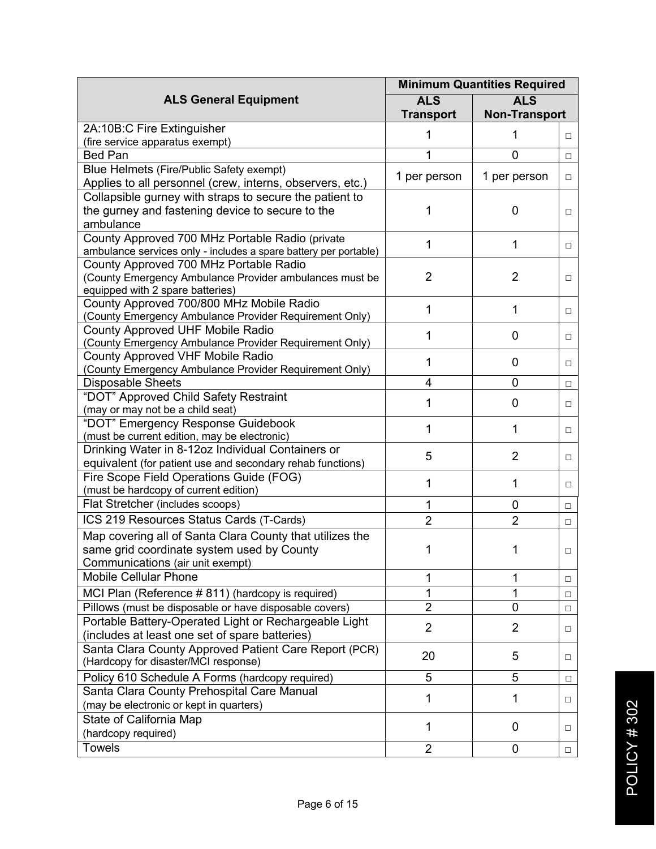|                                                                              | <b>Minimum Quantities Required</b> |                      |        |
|------------------------------------------------------------------------------|------------------------------------|----------------------|--------|
| <b>ALS General Equipment</b>                                                 | <b>ALS</b>                         | <b>ALS</b>           |        |
|                                                                              | <b>Transport</b>                   | <b>Non-Transport</b> |        |
| 2A:10B:C Fire Extinguisher                                                   | 1                                  |                      | $\Box$ |
| (fire service apparatus exempt)                                              |                                    |                      |        |
| <b>Bed Pan</b>                                                               | 1                                  | 0                    | $\Box$ |
| Blue Helmets (Fire/Public Safety exempt)                                     | 1 per person                       | 1 per person         | $\Box$ |
| Applies to all personnel (crew, interns, observers, etc.)                    |                                    |                      |        |
| Collapsible gurney with straps to secure the patient to                      |                                    |                      |        |
| the gurney and fastening device to secure to the                             | 1                                  | $\Omega$             | $\Box$ |
| ambulance                                                                    |                                    |                      |        |
| County Approved 700 MHz Portable Radio (private                              | 1                                  | 1                    | $\Box$ |
| ambulance services only - includes a spare battery per portable)             |                                    |                      |        |
| County Approved 700 MHz Portable Radio                                       |                                    |                      |        |
| (County Emergency Ambulance Provider ambulances must be                      | $\overline{2}$                     | $\overline{2}$       | □      |
| equipped with 2 spare batteries)<br>County Approved 700/800 MHz Mobile Radio |                                    |                      |        |
| (County Emergency Ambulance Provider Requirement Only)                       | 1                                  | 1                    | □      |
| County Approved UHF Mobile Radio                                             |                                    |                      |        |
| (County Emergency Ambulance Provider Requirement Only)                       | 1                                  | $\mathbf 0$          | □      |
| County Approved VHF Mobile Radio                                             |                                    |                      |        |
| (County Emergency Ambulance Provider Requirement Only)                       | 1                                  | 0                    | □      |
| <b>Disposable Sheets</b>                                                     | 4                                  | $\overline{0}$       | $\Box$ |
| "DOT" Approved Child Safety Restraint                                        |                                    |                      |        |
| (may or may not be a child seat)                                             | 1                                  | 0                    | □      |
| "DOT" Emergency Response Guidebook                                           |                                    |                      |        |
| (must be current edition, may be electronic)                                 | 1                                  | 1                    | $\Box$ |
| Drinking Water in 8-12oz Individual Containers or                            |                                    |                      |        |
| equivalent (for patient use and secondary rehab functions)                   | 5                                  | $\overline{2}$       | $\Box$ |
| Fire Scope Field Operations Guide (FOG)                                      | 1                                  | 1                    |        |
| (must be hardcopy of current edition)                                        |                                    |                      | $\Box$ |
| Flat Stretcher (includes scoops)                                             | 1                                  | $\mathbf 0$          | $\Box$ |
| ICS 219 Resources Status Cards (T-Cards)                                     | $\overline{2}$                     | $\overline{2}$       | $\Box$ |
| Map covering all of Santa Clara County that utilizes the                     |                                    |                      |        |
| same grid coordinate system used by County                                   | 1                                  | 1                    | $\Box$ |
| Communications (air unit exempt)                                             |                                    |                      |        |
| <b>Mobile Cellular Phone</b>                                                 | 1                                  | 1                    | $\Box$ |
| MCI Plan (Reference #811) (hardcopy is required)                             | 1                                  | 1                    | $\Box$ |
| Pillows (must be disposable or have disposable covers)                       | $\overline{2}$                     | 0                    | $\Box$ |
| Portable Battery-Operated Light or Rechargeable Light                        |                                    |                      |        |
| (includes at least one set of spare batteries)                               | $\overline{2}$                     | $\overline{2}$       | $\Box$ |
| Santa Clara County Approved Patient Care Report (PCR)                        |                                    |                      |        |
| (Hardcopy for disaster/MCI response)                                         | 20                                 | 5                    | □      |
| Policy 610 Schedule A Forms (hardcopy required)                              | $\overline{5}$                     | $\overline{5}$       | $\Box$ |
| Santa Clara County Prehospital Care Manual                                   |                                    |                      |        |
| (may be electronic or kept in quarters)                                      | 1                                  | 1                    | □      |
| State of California Map                                                      |                                    |                      |        |
| (hardcopy required)                                                          | 1                                  | $\mathbf 0$          | $\Box$ |
|                                                                              |                                    |                      |        |
| <b>Towels</b>                                                                | $\overline{2}$                     | $\mathbf 0$          | $\Box$ |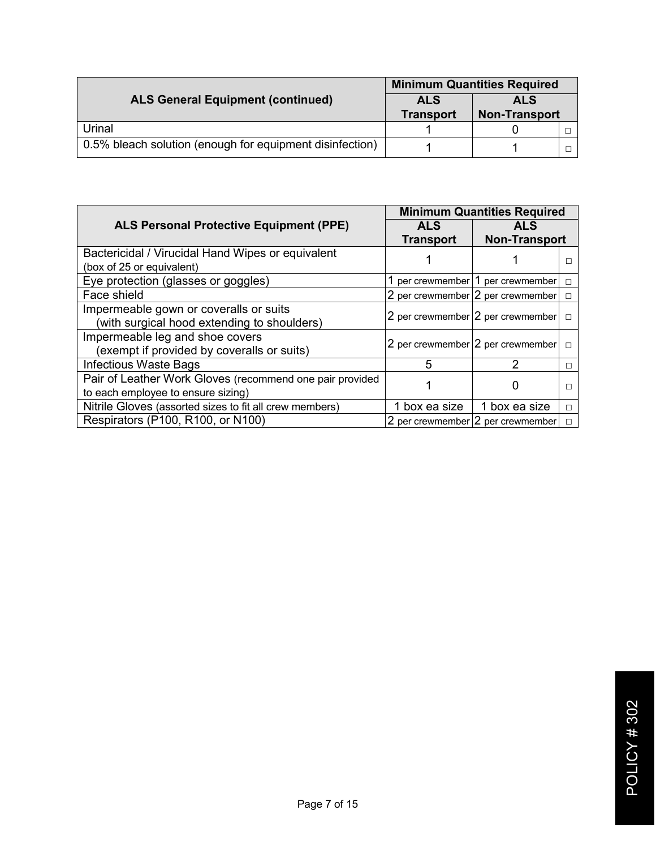|                                                          | <b>Minimum Quantities Required</b> |                      |  |
|----------------------------------------------------------|------------------------------------|----------------------|--|
| <b>ALS General Equipment (continued)</b>                 | <b>ALS</b>                         | <b>ALS</b>           |  |
|                                                          | <b>Transport</b>                   | <b>Non-Transport</b> |  |
| Urinal                                                   |                                    |                      |  |
| 0.5% bleach solution (enough for equipment disinfection) |                                    |                      |  |

|                                                          |                  | <b>Minimum Quantities Required</b> |        |
|----------------------------------------------------------|------------------|------------------------------------|--------|
| <b>ALS Personal Protective Equipment (PPE)</b>           | <b>ALS</b>       | <b>ALS</b>                         |        |
|                                                          | <b>Transport</b> | <b>Non-Transport</b>               |        |
| Bactericidal / Virucidal Hand Wipes or equivalent        |                  |                                    |        |
| (box of 25 or equivalent)                                |                  |                                    |        |
| Eye protection (glasses or goggles)                      |                  | 1 per crewmember 1 per crewmember  | □      |
| Face shield                                              |                  | 2 per crewmember 2 per crewmember  | п      |
| Impermeable gown or coveralls or suits                   |                  | 2 per crewmember 2 per crewmember  | $\Box$ |
| (with surgical hood extending to shoulders)              |                  |                                    |        |
| Impermeable leg and shoe covers                          |                  | 2 per crewmember 2 per crewmember  |        |
| (exempt if provided by coveralls or suits)               |                  |                                    |        |
| Infectious Waste Bags                                    | 5                |                                    |        |
| Pair of Leather Work Gloves (recommend one pair provided |                  |                                    |        |
| to each employee to ensure sizing)                       |                  |                                    |        |
| Nitrile Gloves (assorted sizes to fit all crew members)  | 1 box ea size    | 1 box ea size                      | п      |
| Respirators (P100, R100, or N100)                        |                  | 2 per crewmember 2 per crewmember  | $\Box$ |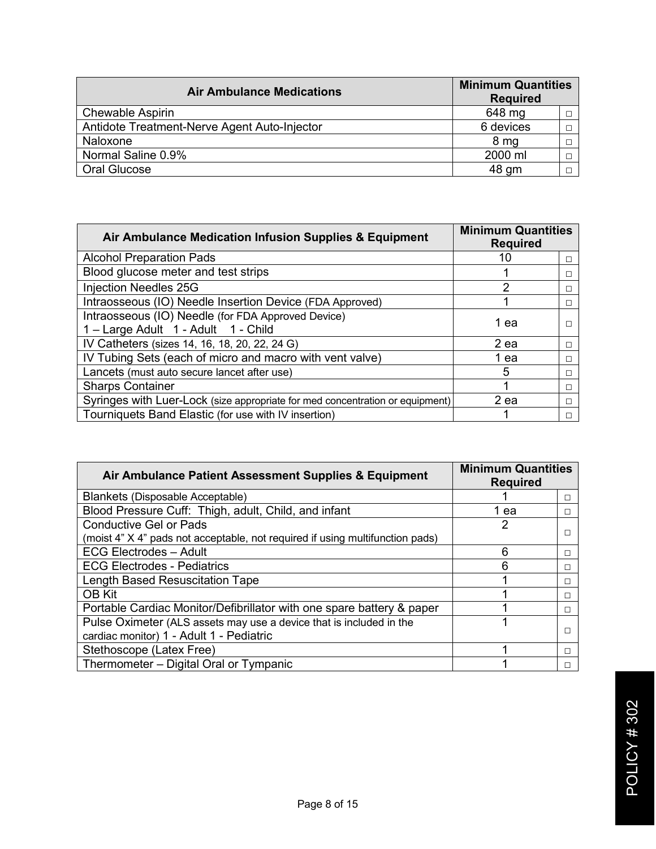| <b>Air Ambulance Medications</b>             | <b>Minimum Quantities</b><br><b>Required</b> |  |
|----------------------------------------------|----------------------------------------------|--|
| <b>Chewable Aspirin</b>                      | 648 mg                                       |  |
| Antidote Treatment-Nerve Agent Auto-Injector | 6 devices                                    |  |
| Naloxone                                     | 8 <sub>mg</sub>                              |  |
| Normal Saline 0.9%                           | 2000 ml                                      |  |
| Oral Glucose                                 | 48 qm                                        |  |

| Air Ambulance Medication Infusion Supplies & Equipment                                    | <b>Minimum Quantities</b><br><b>Required</b> |   |
|-------------------------------------------------------------------------------------------|----------------------------------------------|---|
| <b>Alcohol Preparation Pads</b>                                                           | 10                                           | п |
| Blood glucose meter and test strips                                                       |                                              |   |
| <b>Injection Needles 25G</b>                                                              | 2                                            |   |
| Intraosseous (IO) Needle Insertion Device (FDA Approved)                                  |                                              | П |
| Intraosseous (IO) Needle (for FDA Approved Device)<br>1 - Large Adult 1 - Adult 1 - Child | 1 ea                                         |   |
| IV Catheters (sizes 14, 16, 18, 20, 22, 24 G)                                             | 2 ea                                         |   |
| IV Tubing Sets (each of micro and macro with vent valve)                                  | 1 ea                                         |   |
| Lancets (must auto secure lancet after use)                                               | 5                                            | П |
| <b>Sharps Container</b>                                                                   |                                              | п |
| Syringes with Luer-Lock (size appropriate for med concentration or equipment)             | 2 ea                                         |   |
| Tourniquets Band Elastic (for use with IV insertion)                                      |                                              |   |

| Air Ambulance Patient Assessment Supplies & Equipment                         | <b>Minimum Quantities</b><br><b>Required</b> |   |
|-------------------------------------------------------------------------------|----------------------------------------------|---|
| Blankets (Disposable Acceptable)                                              |                                              | П |
| Blood Pressure Cuff: Thigh, adult, Child, and infant                          | 1 ea                                         | П |
| <b>Conductive Gel or Pads</b>                                                 | 2                                            |   |
| (moist 4" X 4" pads not acceptable, not required if using multifunction pads) |                                              |   |
| <b>ECG Electrodes - Adult</b>                                                 | 6                                            |   |
| <b>ECG Electrodes - Pediatrics</b>                                            | 6                                            |   |
| <b>Length Based Resuscitation Tape</b>                                        |                                              |   |
| OB Kit                                                                        |                                              | П |
| Portable Cardiac Monitor/Defibrillator with one spare battery & paper         |                                              |   |
| Pulse Oximeter (ALS assets may use a device that is included in the           |                                              |   |
| cardiac monitor) 1 - Adult 1 - Pediatric                                      |                                              |   |
| Stethoscope (Latex Free)                                                      |                                              | п |
| Thermometer - Digital Oral or Tympanic                                        |                                              |   |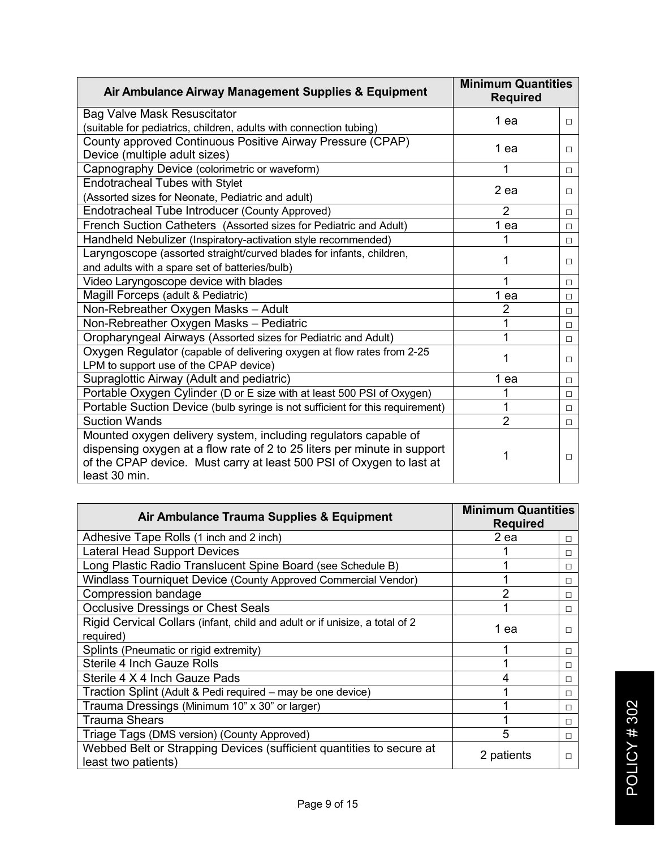| Air Ambulance Airway Management Supplies & Equipment                                                                                                                                                                | <b>Minimum Quantities</b><br><b>Required</b> |        |
|---------------------------------------------------------------------------------------------------------------------------------------------------------------------------------------------------------------------|----------------------------------------------|--------|
| <b>Bag Valve Mask Resuscitator</b>                                                                                                                                                                                  | 1 ea                                         | $\Box$ |
| (suitable for pediatrics, children, adults with connection tubing)                                                                                                                                                  |                                              |        |
| County approved Continuous Positive Airway Pressure (CPAP)                                                                                                                                                          | 1 ea                                         | П      |
| Device (multiple adult sizes)                                                                                                                                                                                       |                                              |        |
| Capnography Device (colorimetric or waveform)                                                                                                                                                                       |                                              | П      |
| Endotracheal Tubes with Stylet                                                                                                                                                                                      | 2 ea                                         |        |
| (Assorted sizes for Neonate, Pediatric and adult)                                                                                                                                                                   |                                              | П      |
| Endotracheal Tube Introducer (County Approved)                                                                                                                                                                      | $\overline{2}$                               | □      |
| French Suction Catheters (Assorted sizes for Pediatric and Adult)                                                                                                                                                   | 1 ea                                         | $\Box$ |
| Handheld Nebulizer (Inspiratory-activation style recommended)                                                                                                                                                       |                                              | $\Box$ |
| Laryngoscope (assorted straight/curved blades for infants, children,                                                                                                                                                | 1                                            |        |
| and adults with a spare set of batteries/bulb)                                                                                                                                                                      |                                              | $\Box$ |
| Video Laryngoscope device with blades                                                                                                                                                                               |                                              | П      |
| Magill Forceps (adult & Pediatric)                                                                                                                                                                                  | 1 ea                                         | $\Box$ |
| Non-Rebreather Oxygen Masks - Adult                                                                                                                                                                                 | $\overline{2}$                               | $\Box$ |
| Non-Rebreather Oxygen Masks - Pediatric                                                                                                                                                                             | 1                                            | □      |
| Oropharyngeal Airways (Assorted sizes for Pediatric and Adult)                                                                                                                                                      | 1                                            | □      |
| Oxygen Regulator (capable of delivering oxygen at flow rates from 2-25                                                                                                                                              | 1                                            |        |
| LPM to support use of the CPAP device)                                                                                                                                                                              |                                              | □      |
| Supraglottic Airway (Adult and pediatric)                                                                                                                                                                           | 1 ea                                         | □      |
| Portable Oxygen Cylinder (D or E size with at least 500 PSI of Oxygen)                                                                                                                                              |                                              | $\Box$ |
| Portable Suction Device (bulb syringe is not sufficient for this requirement)                                                                                                                                       | 1                                            | $\Box$ |
| <b>Suction Wands</b>                                                                                                                                                                                                | $\overline{2}$                               | □      |
| Mounted oxygen delivery system, including regulators capable of<br>dispensing oxygen at a flow rate of 2 to 25 liters per minute in support<br>of the CPAP device. Must carry at least 500 PSI of Oxygen to last at |                                              | □      |
| least 30 min.                                                                                                                                                                                                       |                                              |        |

| Air Ambulance Trauma Supplies & Equipment                                                   | <b>Minimum Quantities</b><br><b>Required</b> |   |
|---------------------------------------------------------------------------------------------|----------------------------------------------|---|
| Adhesive Tape Rolls (1 inch and 2 inch)                                                     | 2 ea                                         | □ |
| <b>Lateral Head Support Devices</b>                                                         |                                              | □ |
| Long Plastic Radio Translucent Spine Board (see Schedule B)                                 |                                              | □ |
| Windlass Tourniquet Device (County Approved Commercial Vendor)                              |                                              | □ |
| Compression bandage                                                                         | 2                                            | □ |
| <b>Occlusive Dressings or Chest Seals</b>                                                   | 1                                            | □ |
| Rigid Cervical Collars (infant, child and adult or if unisize, a total of 2<br>required)    | 1 ea                                         | п |
| Splints (Pneumatic or rigid extremity)                                                      |                                              | □ |
| <b>Sterile 4 Inch Gauze Rolls</b>                                                           |                                              | П |
| Sterile 4 X 4 Inch Gauze Pads                                                               | 4                                            | П |
| Traction Splint (Adult & Pedi required – may be one device)                                 |                                              | П |
| Trauma Dressings (Minimum 10" x 30" or larger)                                              |                                              | П |
| <b>Trauma Shears</b>                                                                        |                                              | □ |
| Triage Tags (DMS version) (County Approved)                                                 | 5                                            | □ |
| Webbed Belt or Strapping Devices (sufficient quantities to secure at<br>least two patients) | 2 patients                                   | п |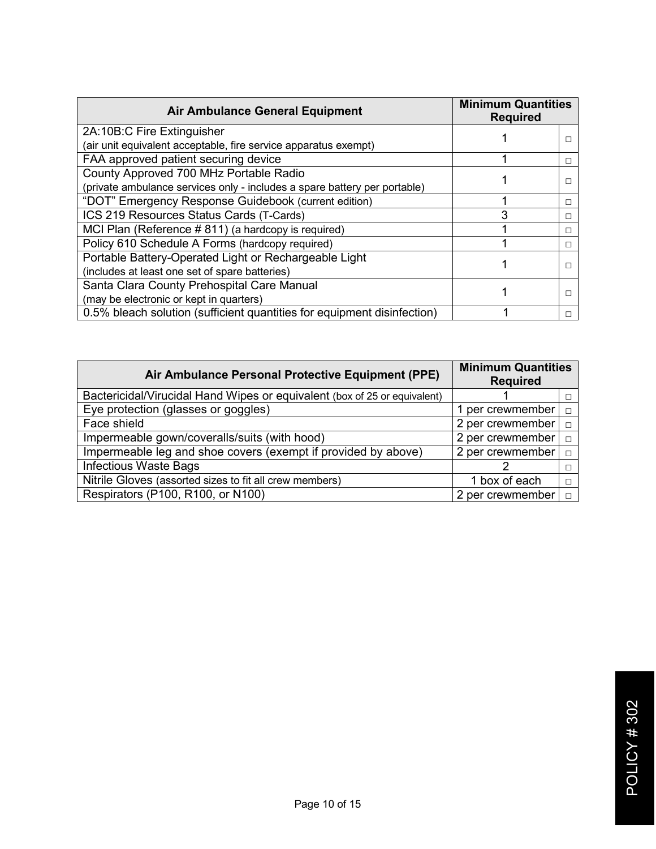| <b>Air Ambulance General Equipment</b>                                    | <b>Minimum Quantities</b><br><b>Required</b> |              |
|---------------------------------------------------------------------------|----------------------------------------------|--------------|
| 2A:10B:C Fire Extinguisher                                                |                                              |              |
| (air unit equivalent acceptable, fire service apparatus exempt)           |                                              |              |
| FAA approved patient securing device                                      |                                              | $\mathsf{L}$ |
| County Approved 700 MHz Portable Radio                                    |                                              |              |
| (private ambulance services only - includes a spare battery per portable) |                                              |              |
| "DOT" Emergency Response Guidebook (current edition)                      |                                              | г            |
| ICS 219 Resources Status Cards (T-Cards)                                  |                                              | L            |
| MCI Plan (Reference #811) (a hardcopy is required)                        |                                              | П            |
| Policy 610 Schedule A Forms (hardcopy required)                           |                                              | □            |
| Portable Battery-Operated Light or Rechargeable Light                     |                                              |              |
| (includes at least one set of spare batteries)                            |                                              |              |
| Santa Clara County Prehospital Care Manual                                |                                              |              |
| (may be electronic or kept in quarters)                                   |                                              |              |
| 0.5% bleach solution (sufficient quantities for equipment disinfection)   |                                              |              |

| <b>Minimum Quantities</b><br>Air Ambulance Personal Protective Equipment (PPE)<br><b>Required</b> |                  |        |
|---------------------------------------------------------------------------------------------------|------------------|--------|
| Bactericidal/Virucidal Hand Wipes or equivalent (box of 25 or equivalent)                         |                  |        |
| Eye protection (glasses or goggles)                                                               | 1 per crewmember | п      |
| Face shield                                                                                       | 2 per crewmember | п      |
| Impermeable gown/coveralls/suits (with hood)                                                      | 2 per crewmember | п      |
| Impermeable leg and shoe covers (exempt if provided by above)                                     | 2 per crewmember |        |
| <b>Infectious Waste Bags</b>                                                                      |                  |        |
| Nitrile Gloves (assorted sizes to fit all crew members)                                           | 1 box of each    | □      |
| Respirators (P100, R100, or N100)                                                                 | 2 per crewmember | $\Box$ |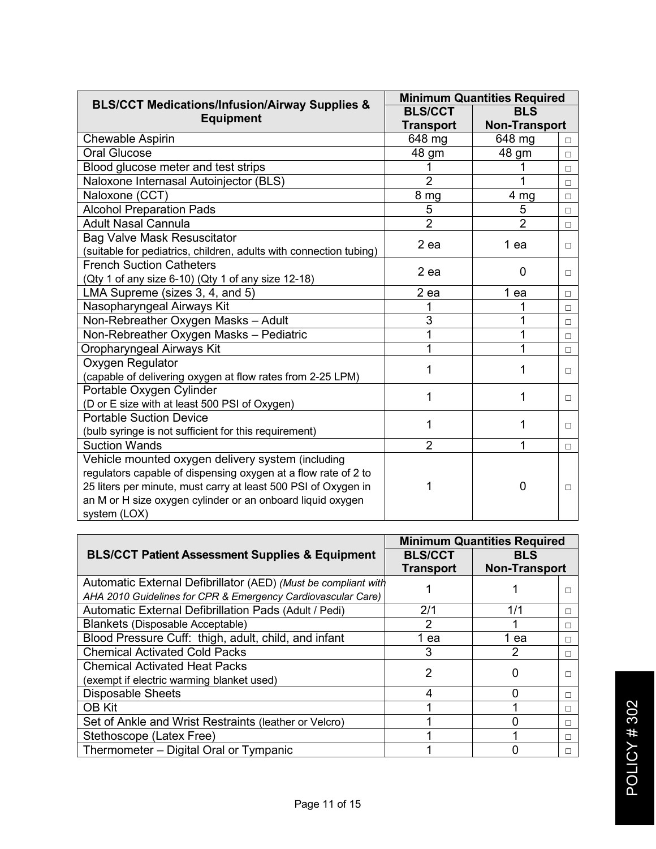| <b>BLS/CCT Medications/Infusion/Airway Supplies &amp;</b>          | <b>Minimum Quantities Required</b> |                      |        |
|--------------------------------------------------------------------|------------------------------------|----------------------|--------|
|                                                                    | <b>BLS/CCT</b>                     | <b>BLS</b>           |        |
| <b>Equipment</b>                                                   | <b>Transport</b>                   | <b>Non-Transport</b> |        |
| Chewable Aspirin                                                   | 648 mg                             | 648 mg               | $\Box$ |
| <b>Oral Glucose</b>                                                | 48 gm                              | 48 gm                | $\Box$ |
| Blood glucose meter and test strips                                | 1                                  |                      | $\Box$ |
| Naloxone Internasal Autoinjector (BLS)                             | $\overline{2}$                     | 1                    | □      |
| Naloxone (CCT)                                                     | 8 mg                               | 4 mg                 | $\Box$ |
| <b>Alcohol Preparation Pads</b>                                    | 5                                  | 5                    | $\Box$ |
| <b>Adult Nasal Cannula</b>                                         | $\overline{2}$                     | $\overline{2}$       | $\Box$ |
| <b>Bag Valve Mask Resuscitator</b>                                 | $2$ ea                             | 1 ea                 |        |
| (suitable for pediatrics, children, adults with connection tubing) |                                    |                      | П.     |
| <b>French Suction Catheters</b>                                    | 2 ea                               | 0                    |        |
| (Qty 1 of any size 6-10) (Qty 1 of any size 12-18)                 |                                    |                      | □      |
| LMA Supreme (sizes 3, 4, and 5)                                    | $2$ ea                             | 1 ea                 | П      |
| Nasopharyngeal Airways Kit                                         | 1                                  |                      | $\Box$ |
| Non-Rebreather Oxygen Masks - Adult                                | 3                                  | 1                    | Π      |
| Non-Rebreather Oxygen Masks - Pediatric                            | 1                                  | 1                    | $\Box$ |
| Oropharyngeal Airways Kit                                          | 1                                  | 1                    | □      |
| Oxygen Regulator                                                   | 1                                  | 1                    | П.     |
| (capable of delivering oxygen at flow rates from 2-25 LPM)         |                                    |                      |        |
| Portable Oxygen Cylinder                                           | 1                                  | 1                    | П.     |
| (D or E size with at least 500 PSI of Oxygen)                      |                                    |                      |        |
| <b>Portable Suction Device</b>                                     | 1                                  | 1                    | П.     |
| (bulb syringe is not sufficient for this requirement)              |                                    |                      |        |
| <b>Suction Wands</b>                                               | $\overline{2}$                     | 1                    | $\Box$ |
| Vehicle mounted oxygen delivery system (including                  |                                    |                      |        |
| regulators capable of dispensing oxygen at a flow rate of 2 to     |                                    |                      |        |
| 25 liters per minute, must carry at least 500 PSI of Oxygen in     |                                    | 0                    | □      |
| an M or H size oxygen cylinder or an onboard liquid oxygen         |                                    |                      |        |
| system (LOX)                                                       |                                    |                      |        |

|                                                                | <b>Minimum Quantities Required</b> |                      |   |
|----------------------------------------------------------------|------------------------------------|----------------------|---|
| <b>BLS/CCT Patient Assessment Supplies &amp; Equipment</b>     | <b>BLS/CCT</b>                     | BLS                  |   |
|                                                                | <b>Transport</b>                   | <b>Non-Transport</b> |   |
| Automatic External Defibrillator (AED) (Must be compliant with |                                    |                      |   |
| AHA 2010 Guidelines for CPR & Emergency Cardiovascular Care)   |                                    |                      |   |
| Automatic External Defibrillation Pads (Adult / Pedi)          | 2/1                                | 1/1                  | □ |
| Blankets (Disposable Acceptable)                               | 2                                  |                      | П |
| Blood Pressure Cuff: thigh, adult, child, and infant           | 1 ea                               | 1 ea                 | □ |
| <b>Chemical Activated Cold Packs</b>                           | 3                                  |                      | п |
| <b>Chemical Activated Heat Packs</b>                           | 2                                  |                      |   |
| (exempt if electric warming blanket used)                      |                                    |                      |   |
| <b>Disposable Sheets</b>                                       | 4                                  |                      | П |
| <b>OB Kit</b>                                                  |                                    |                      | П |
| Set of Ankle and Wrist Restraints (leather or Velcro)          |                                    |                      | □ |
| Stethoscope (Latex Free)                                       |                                    |                      |   |
| Thermometer - Digital Oral or Tympanic                         |                                    |                      |   |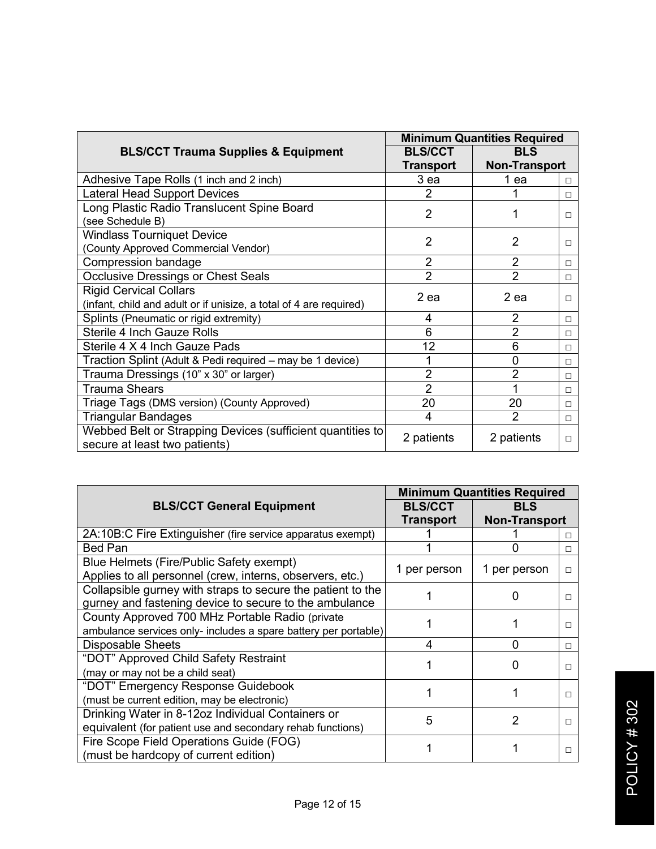|                                                                                             | <b>Minimum Quantities Required</b> |                      |        |
|---------------------------------------------------------------------------------------------|------------------------------------|----------------------|--------|
| <b>BLS/CCT Trauma Supplies &amp; Equipment</b>                                              | <b>BLS/CCT</b>                     | <b>BLS</b>           |        |
|                                                                                             | Transport                          | <b>Non-Transport</b> |        |
| Adhesive Tape Rolls (1 inch and 2 inch)                                                     | 3 ea                               | 1 ea                 | □      |
| <b>Lateral Head Support Devices</b>                                                         | $\overline{2}$                     |                      | □      |
| Long Plastic Radio Translucent Spine Board                                                  | $\overline{2}$                     |                      |        |
| (see Schedule B)                                                                            |                                    |                      | п      |
| <b>Windlass Tourniquet Device</b>                                                           | 2                                  | 2                    |        |
| (County Approved Commercial Vendor)                                                         |                                    |                      | П      |
| Compression bandage                                                                         | $\overline{2}$                     | $\overline{2}$       | П      |
| <b>Occlusive Dressings or Chest Seals</b>                                                   | $\overline{2}$                     | $\overline{2}$       | □      |
| <b>Rigid Cervical Collars</b>                                                               | 2 ea                               | 2 ea                 |        |
| (infant, child and adult or if unisize, a total of 4 are required)                          |                                    |                      | п      |
| Splints (Pneumatic or rigid extremity)                                                      | 4                                  | $\overline{2}$       | $\Box$ |
| <b>Sterile 4 Inch Gauze Rolls</b>                                                           | 6                                  | $\overline{2}$       | П      |
| Sterile 4 X 4 Inch Gauze Pads                                                               | 12                                 | 6                    | $\Box$ |
| Traction Splint (Adult & Pedi required - may be 1 device)                                   | 1                                  | 0                    | П      |
| Trauma Dressings (10" x 30" or larger)                                                      | $\overline{2}$                     | 2                    | $\Box$ |
| <b>Trauma Shears</b>                                                                        | $\overline{2}$                     |                      | □      |
| Triage Tags (DMS version) (County Approved)                                                 | 20                                 | 20                   | $\Box$ |
| <b>Triangular Bandages</b>                                                                  | 4                                  | $\mathcal{P}$        | □      |
| Webbed Belt or Strapping Devices (sufficient quantities to<br>secure at least two patients) | 2 patients                         | 2 patients           | □      |

|                                                                 | <b>Minimum Quantities Required</b> |                      |   |
|-----------------------------------------------------------------|------------------------------------|----------------------|---|
| <b>BLS/CCT General Equipment</b>                                | <b>BLS/CCT</b>                     | <b>BLS</b>           |   |
|                                                                 | Transport                          | <b>Non-Transport</b> |   |
| 2A:10B:C Fire Extinguisher (fire service apparatus exempt)      |                                    |                      | п |
| <b>Bed Pan</b>                                                  |                                    |                      | П |
| Blue Helmets (Fire/Public Safety exempt)                        | 1 per person                       | 1 per person         |   |
| Applies to all personnel (crew, interns, observers, etc.)       |                                    |                      | П |
| Collapsible gurney with straps to secure the patient to the     |                                    |                      |   |
| gurney and fastening device to secure to the ambulance          |                                    |                      |   |
| County Approved 700 MHz Portable Radio (private                 |                                    |                      | П |
| ambulance services only- includes a spare battery per portable) |                                    |                      |   |
| <b>Disposable Sheets</b>                                        | 4                                  | O                    | П |
| "DOT" Approved Child Safety Restraint                           |                                    |                      |   |
| (may or may not be a child seat)                                |                                    |                      |   |
| "DOT" Emergency Response Guidebook                              |                                    |                      |   |
| (must be current edition, may be electronic)                    |                                    |                      |   |
| Drinking Water in 8-12oz Individual Containers or               | 5                                  |                      |   |
| equivalent (for patient use and secondary rehab functions)      |                                    |                      |   |
| Fire Scope Field Operations Guide (FOG)                         |                                    |                      |   |
| (must be hardcopy of current edition)                           |                                    |                      |   |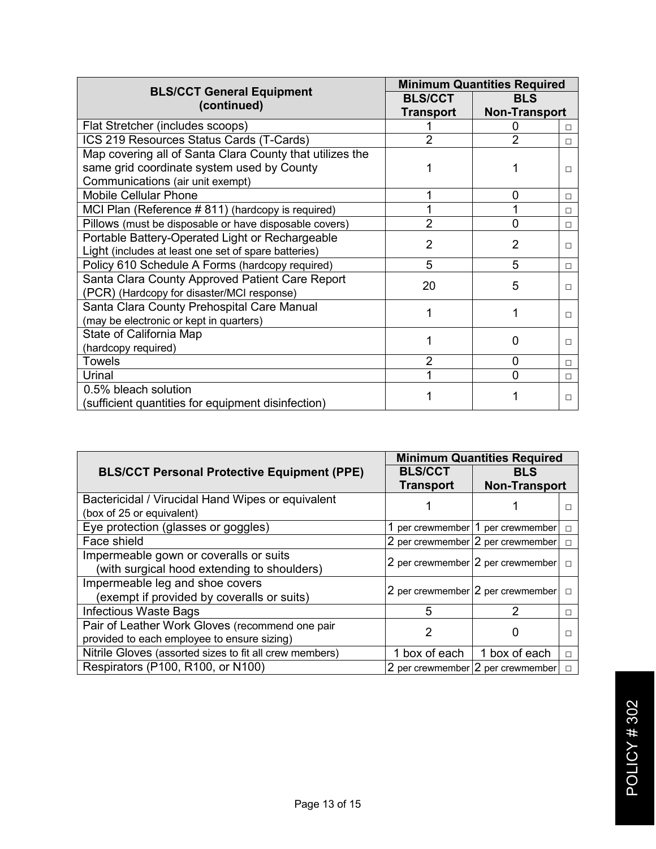| <b>BLS/CCT General Equipment</b>                         | <b>Minimum Quantities Required</b> |                      |        |
|----------------------------------------------------------|------------------------------------|----------------------|--------|
|                                                          | <b>BLS/CCT</b>                     | <b>BLS</b>           |        |
| (continued)                                              | Transport                          | <b>Non-Transport</b> |        |
| Flat Stretcher (includes scoops)                         |                                    |                      | п      |
| ICS 219 Resources Status Cards (T-Cards)                 | 2                                  | $\overline{2}$       | п      |
| Map covering all of Santa Clara County that utilizes the |                                    |                      |        |
| same grid coordinate system used by County               |                                    |                      | п      |
| Communications (air unit exempt)                         |                                    |                      |        |
| <b>Mobile Cellular Phone</b>                             |                                    | 0                    | П      |
| MCI Plan (Reference #811) (hardcopy is required)         |                                    |                      | $\Box$ |
| Pillows (must be disposable or have disposable covers)   | 2                                  | 0                    | п      |
| Portable Battery-Operated Light or Rechargeable          | 2                                  | 2                    |        |
| Light (includes at least one set of spare batteries)     |                                    |                      | $\Box$ |
| Policy 610 Schedule A Forms (hardcopy required)          | 5                                  | 5                    | $\Box$ |
| Santa Clara County Approved Patient Care Report          | 20                                 | 5                    |        |
| (PCR) (Hardcopy for disaster/MCI response)               |                                    |                      | п      |
| Santa Clara County Prehospital Care Manual               |                                    |                      |        |
| (may be electronic or kept in quarters)                  |                                    |                      | п      |
| State of California Map                                  |                                    | O                    |        |
| (hardcopy required)                                      |                                    |                      | □      |
| <b>Towels</b>                                            | 2                                  | 0                    | $\Box$ |
| Urinal                                                   |                                    | n                    | $\Box$ |
| 0.5% bleach solution                                     |                                    |                      |        |
| (sufficient quantities for equipment disinfection)       |                                    |                      | П      |

|                                                         | <b>Minimum Quantities Required</b> |                                   |        |
|---------------------------------------------------------|------------------------------------|-----------------------------------|--------|
| <b>BLS/CCT Personal Protective Equipment (PPE)</b>      | <b>BLS/CCT</b>                     | <b>BLS</b>                        |        |
|                                                         | <b>Transport</b>                   | <b>Non-Transport</b>              |        |
| Bactericidal / Virucidal Hand Wipes or equivalent       |                                    |                                   |        |
| (box of 25 or equivalent)                               |                                    |                                   |        |
| Eye protection (glasses or goggles)                     |                                    | 1 per crewmember 1 per crewmember | ⊓      |
| Face shield                                             |                                    | 2 per crewmember 2 per crewmember | п      |
| Impermeable gown or coveralls or suits                  |                                    | 2 per crewmember 2 per crewmember |        |
| (with surgical hood extending to shoulders)             |                                    |                                   | П      |
| Impermeable leg and shoe covers                         |                                    | 2 per crewmember 2 per crewmember | $\Box$ |
| (exempt if provided by coveralls or suits)              |                                    |                                   |        |
| Infectious Waste Bags                                   | 5                                  | າ                                 | □      |
| Pair of Leather Work Gloves (recommend one pair         | 2                                  |                                   |        |
| provided to each employee to ensure sizing)             |                                    |                                   |        |
| Nitrile Gloves (assorted sizes to fit all crew members) | 1 box of each                      | 1 box of each                     | П      |
| Respirators (P100, R100, or N100)                       |                                    | 2 per crewmember 2 per crewmember | п      |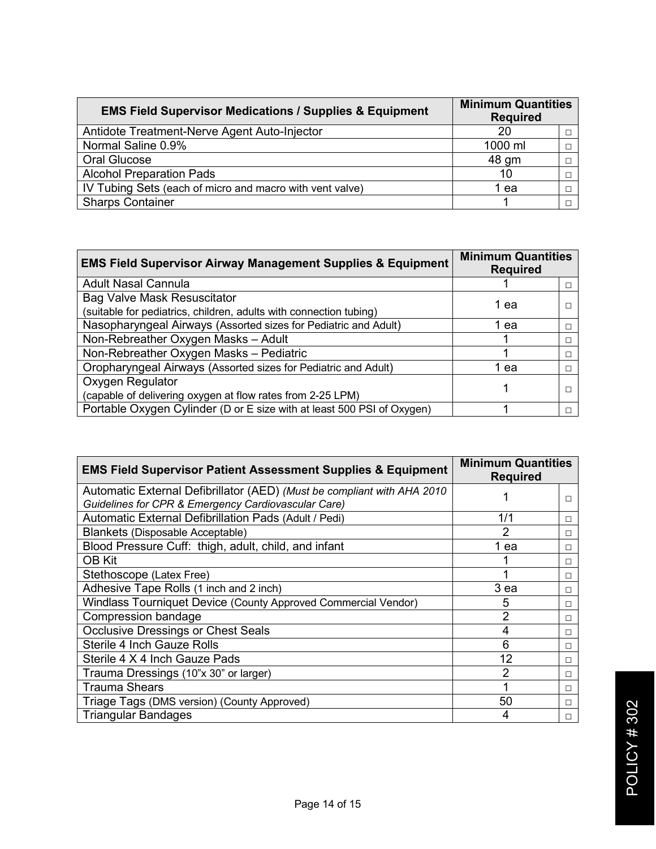| <b>EMS Field Supervisor Medications / Supplies &amp; Equipment</b> | <b>Minimum Quantities</b><br><b>Required</b> |  |
|--------------------------------------------------------------------|----------------------------------------------|--|
| Antidote Treatment-Nerve Agent Auto-Injector                       | 20                                           |  |
| Normal Saline 0.9%                                                 | 1000 ml                                      |  |
| Oral Glucose                                                       | 48 gm                                        |  |
| <b>Alcohol Preparation Pads</b>                                    | 10                                           |  |
| IV Tubing Sets (each of micro and macro with vent valve)           | ea                                           |  |
| <b>Sharps Container</b>                                            |                                              |  |

| <b>EMS Field Supervisor Airway Management Supplies &amp; Equipment</b> | <b>Minimum Quantities</b><br><b>Required</b> |  |
|------------------------------------------------------------------------|----------------------------------------------|--|
| <b>Adult Nasal Cannula</b>                                             |                                              |  |
| <b>Bag Valve Mask Resuscitator</b>                                     | 1 ea                                         |  |
| (suitable for pediatrics, children, adults with connection tubing)     |                                              |  |
| Nasopharyngeal Airways (Assorted sizes for Pediatric and Adult)        | ea                                           |  |
| Non-Rebreather Oxygen Masks - Adult                                    |                                              |  |
| Non-Rebreather Oxygen Masks - Pediatric                                |                                              |  |
| Oropharyngeal Airways (Assorted sizes for Pediatric and Adult)         | 1 ea                                         |  |
| Oxygen Regulator                                                       |                                              |  |
| (capable of delivering oxygen at flow rates from 2-25 LPM)             |                                              |  |
| Portable Oxygen Cylinder (D or E size with at least 500 PSI of Oxygen) |                                              |  |

| <b>EMS Field Supervisor Patient Assessment Supplies &amp; Equipment</b> | <b>Minimum Quantities</b><br><b>Required</b> |   |
|-------------------------------------------------------------------------|----------------------------------------------|---|
| Automatic External Defibrillator (AED) (Must be compliant with AHA 2010 |                                              |   |
| Guidelines for CPR & Emergency Cardiovascular Care)                     |                                              |   |
| Automatic External Defibrillation Pads (Adult / Pedi)                   | 1/1                                          | □ |
| <b>Blankets (Disposable Acceptable)</b>                                 | 2                                            | □ |
| Blood Pressure Cuff: thigh, adult, child, and infant                    | 1 ea                                         | □ |
| <b>OB Kit</b>                                                           |                                              | □ |
| Stethoscope (Latex Free)                                                |                                              | □ |
| Adhesive Tape Rolls (1 inch and 2 inch)                                 | 3 ea                                         | □ |
| Windlass Tourniquet Device (County Approved Commercial Vendor)          | 5                                            | □ |
| Compression bandage                                                     | 2                                            | □ |
| <b>Occlusive Dressings or Chest Seals</b>                               | 4                                            | □ |
| <b>Sterile 4 Inch Gauze Rolls</b>                                       | 6                                            | □ |
| Sterile 4 X 4 Inch Gauze Pads                                           | 12                                           | □ |
| Trauma Dressings (10"x 30" or larger)                                   | 2                                            | □ |
| <b>Trauma Shears</b>                                                    |                                              | □ |
| Triage Tags (DMS version) (County Approved)                             | 50                                           | п |
| <b>Triangular Bandages</b>                                              | 4                                            | П |